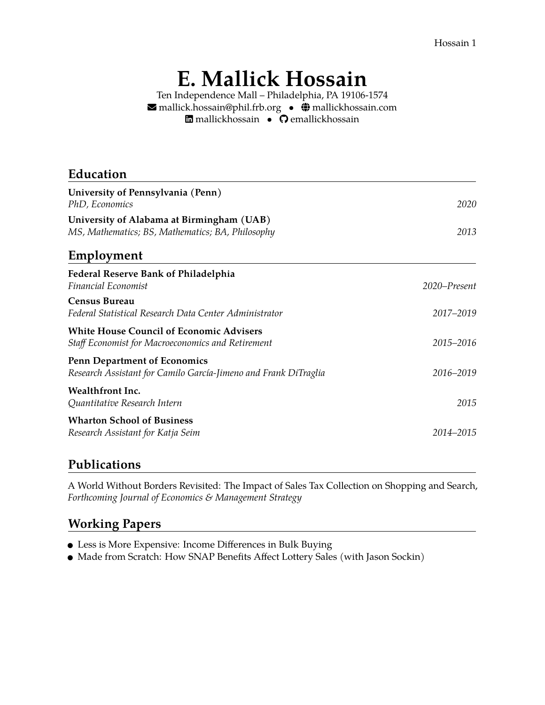Hossain 1

# **E. Mallick Hossain**

Ten Independence Mall – Philadelphia, PA 19106-1574  $\blacktriangleright$  [mallick.hossain@phil.frb.org](mailto:mallick.hossain@phil.frb.org) •  $\ddot{Q}$  [mallickhossain.com](https://mallickhossain.com) *n* [mallickhossain](https://www.linkedin.com/in/mallickhossain) • **Q** [emallickhossain](https://github.com/emallickhossain)

| Education                                                                                              |              |
|--------------------------------------------------------------------------------------------------------|--------------|
| University of Pennsylvania (Penn)<br>PhD, Economics                                                    | 2020         |
| University of Alabama at Birmingham (UAB)<br>MS, Mathematics; BS, Mathematics; BA, Philosophy          | 2013         |
| Employment                                                                                             |              |
| Federal Reserve Bank of Philadelphia<br>Financial Economist                                            | 2020–Present |
| <b>Census Bureau</b><br>Federal Statistical Research Data Center Administrator                         | 2017-2019    |
| <b>White House Council of Economic Advisers</b><br>Staff Economist for Macroeconomics and Retirement   | 2015-2016    |
| <b>Penn Department of Economics</b><br>Research Assistant for Camilo García-Jimeno and Frank DiTraglia | 2016-2019    |
| Wealthfront Inc.<br>Quantitative Research Intern                                                       | 2015         |
| <b>Wharton School of Business</b><br>Research Assistant for Katja Seim                                 | 2014–2015    |
|                                                                                                        |              |

## **Publications**

[A World Without Borders Revisited: The Impact of Sales Tax Collection on Shopping and Search,](https://www.mallickhossain.com/files/onlineShoppingAndSalesTax.pdf) *[Forthcoming Journal of Economics & Management Strategy](https://www.mallickhossain.com/files/onlineShoppingAndSalesTax.pdf)*

# **Working Papers**

- [Less is More Expensive: Income Differences in Bulk Buying](https://www.mallickhossain.com/files/BulkBuyingInequality.pdf)
- Made from Scratch: How SNAP Benefits Affect Lottery Sales (with Jason Sockin)